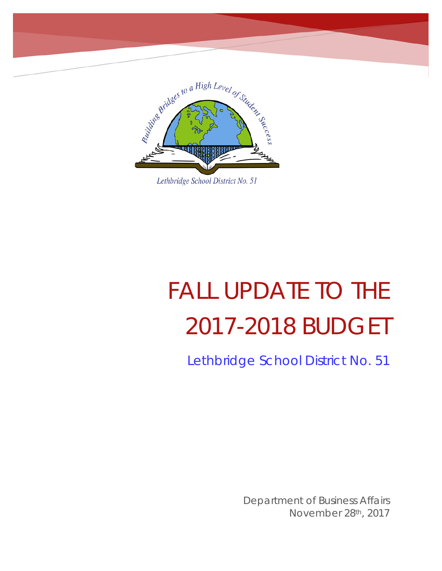

Lethbridge School District No. 51

# FALL UPDATE TO THE 2017-2018 BUDGET

Lethbridge School District No. 51

Department of Business Affairs November 28th, 2017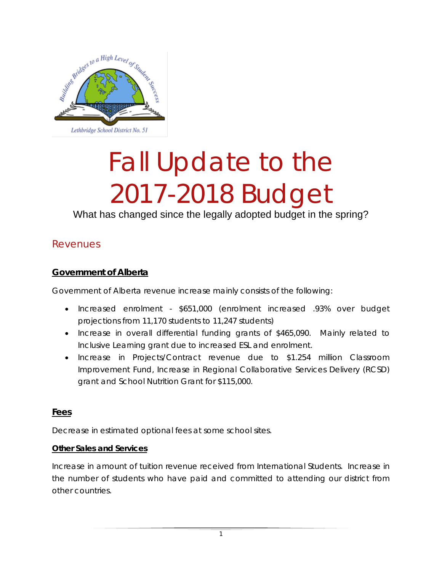

# Fall Update to the 2017-2018 Budget

What has changed since the legally adopted budget in the spring?

#### Revenues

#### **Government of Alberta**

Government of Alberta revenue increase mainly consists of the following:

- Increased enrolment \$651,000 (enrolment increased .93% over budget projections from 11,170 students to 11,247 students)
- Increase in overall differential funding grants of \$465,090. Mainly related to Inclusive Learning grant due to increased ESL and enrolment.
- Increase in Projects/Contract revenue due to \$1.254 million Classroom Improvement Fund, Increase in Regional Collaborative Services Delivery (RCSD) grant and School Nutrition Grant for \$115,000.

#### **Fees**

Decrease in estimated optional fees at some school sites.

#### **Other Sales and Services**

Increase in amount of tuition revenue received from International Students. Increase in the number of students who have paid and committed to attending our district from other countries.

1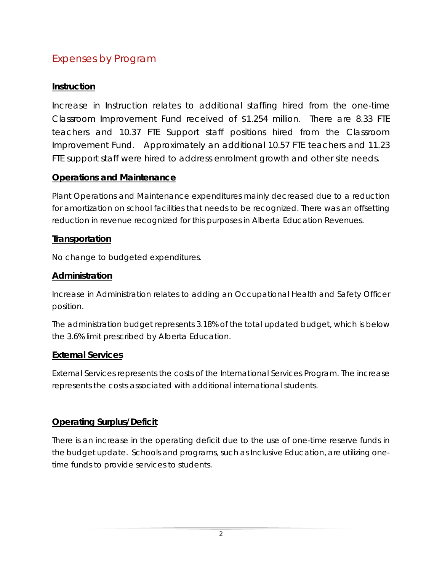# Expenses by Program

#### **Instruction**

Increase in Instruction relates to additional staffing hired from the one-time Classroom Improvement Fund received of \$1.254 million. There are 8.33 FTE teachers and 10.37 FTE Support staff positions hired from the Classroom Improvement Fund. Approximately an additional 10.57 FTE teachers and 11.23 FTE support staff were hired to address enrolment growth and other site needs.

#### **Operations and Maintenance**

Plant Operations and Maintenance expenditures mainly decreased due to a reduction for amortization on school facilities that needs to be recognized. There was an offsetting reduction in revenue recognized for this purposes in Alberta Education Revenues.

#### **Transportation**

No change to budgeted expenditures.

#### **Administration**

Increase in Administration relates to adding an Occupational Health and Safety Officer position.

The administration budget represents 3.18% of the total updated budget, which is below the 3.6% limit prescribed by Alberta Education.

#### **External Services**

External Services represents the costs of the International Services Program. The increase represents the costs associated with additional international students.

#### **Operating Surplus/Deficit**

There is an increase in the operating deficit due to the use of one-time reserve funds in the budget update. Schools and programs, such as Inclusive Education, are utilizing onetime funds to provide services to students.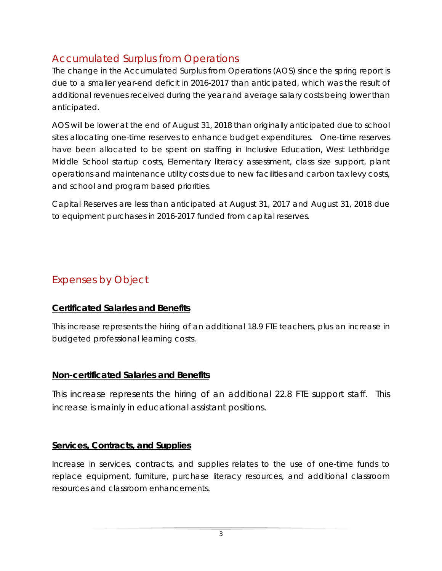# Accumulated Surplus from Operations

The change in the Accumulated Surplus from Operations (AOS) since the spring report is due to a smaller year-end deficit in 2016-2017 than anticipated, which was the result of additional revenues received during the year and average salary costs being lower than anticipated.

AOS will be lower at the end of August 31, 2018 than originally anticipated due to school sites allocating one-time reserves to enhance budget expenditures. One-time reserves have been allocated to be spent on staffing in Inclusive Education, West Lethbridge Middle School startup costs, Elementary literacy assessment, class size support, plant operations and maintenance utility costs due to new facilities and carbon tax levy costs, and school and program based priorities.

Capital Reserves are less than anticipated at August 31, 2017 and August 31, 2018 due to equipment purchases in 2016-2017 funded from capital reserves.

# Expenses by Object

### **Certificated Salaries and Benefits**

This increase represents the hiring of an additional 18.9 FTE teachers, plus an increase in budgeted professional learning costs.

### **Non-certificated Salaries and Benefits**

This increase represents the hiring of an additional 22.8 FTE support staff. This increase is mainly in educational assistant positions.

### **Services, Contracts, and Supplies**

Increase in services, contracts, and supplies relates to the use of one-time funds to replace equipment, furniture, purchase literacy resources, and additional classroom resources and classroom enhancements.